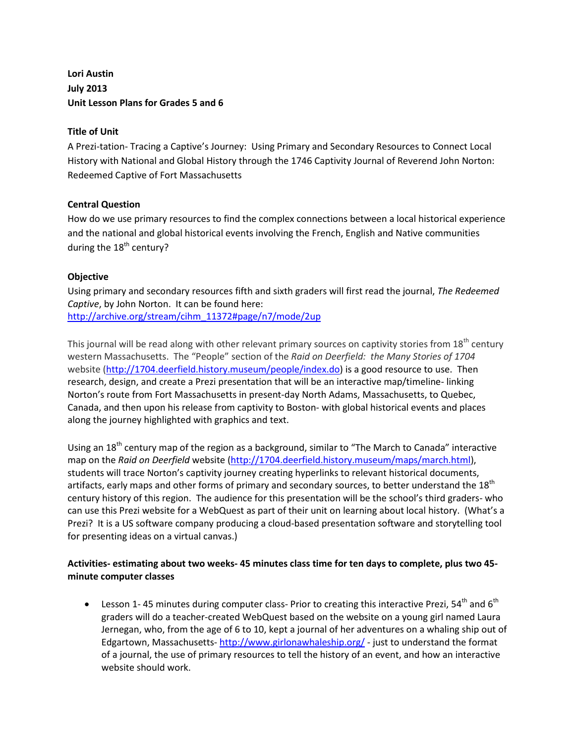# **Lori Austin July 2013 Unit Lesson Plans for Grades 5 and 6**

# **Title of Unit**

A Prezi-tation- Tracing a Captive's Journey: Using Primary and Secondary Resources to Connect Local History with National and Global History through the 1746 Captivity Journal of Reverend John Norton: Redeemed Captive of Fort Massachusetts

# **Central Question**

How do we use primary resources to find the complex connections between a local historical experience and the national and global historical events involving the French, English and Native communities during the  $18<sup>th</sup>$  century?

# **Objective**

Using primary and secondary resources fifth and sixth graders will first read the journal, *The Redeemed Captive*, by John Norton. It can be found here: [http://archive.org/stream/cihm\\_11372#page/n7/mode/2up](http://archive.org/stream/cihm_11372#page/n7/mode/2up)

This journal will be read along with other relevant primary sources on captivity stories from 18<sup>th</sup> century western Massachusetts. The "People" section of the *Raid on Deerfield: the Many Stories of 1704* website [\(http://1704.deerfield.history.museum/people/index.do\)](http://1704.deerfield.history.museum/people/index.do) is a good resource to use. Then research, design, and create a Prezi presentation that will be an interactive map/timeline- linking Norton's route from Fort Massachusetts in present-day North Adams, Massachusetts, to Quebec, Canada, and then upon his release from captivity to Boston- with global historical events and places along the journey highlighted with graphics and text.

Using an 18<sup>th</sup> century map of the region as a background, similar to "The March to Canada" interactive map on the *Raid on Deerfield* website [\(http://1704.deerfield.history.museum/maps/march.html\)](http://1704.deerfield.history.museum/maps/march.html), students will trace Norton's captivity journey creating hyperlinks to relevant historical documents, artifacts, early maps and other forms of primary and secondary sources, to better understand the 18<sup>th</sup> century history of this region. The audience for this presentation will be the school's third graders- who can use this Prezi website for a WebQuest as part of their unit on learning about local history. (What's a Prezi? It is a US software company producing a cloud-based presentation software and storytelling tool for presenting ideas on a virtual canvas.)

# **Activities- estimating about two weeks- 45 minutes class time for ten days to complete, plus two 45 minute computer classes**

• Lesson 1-45 minutes during computer class-Prior to creating this interactive Prezi, 54<sup>th</sup> and 6<sup>th</sup> graders will do a teacher-created WebQuest based on the website on a young girl named Laura Jernegan, who, from the age of 6 to 10, kept a journal of her adventures on a whaling ship out of Edgartown, Massachusetts- <http://www.girlonawhaleship.org/> - just to understand the format of a journal, the use of primary resources to tell the history of an event, and how an interactive website should work.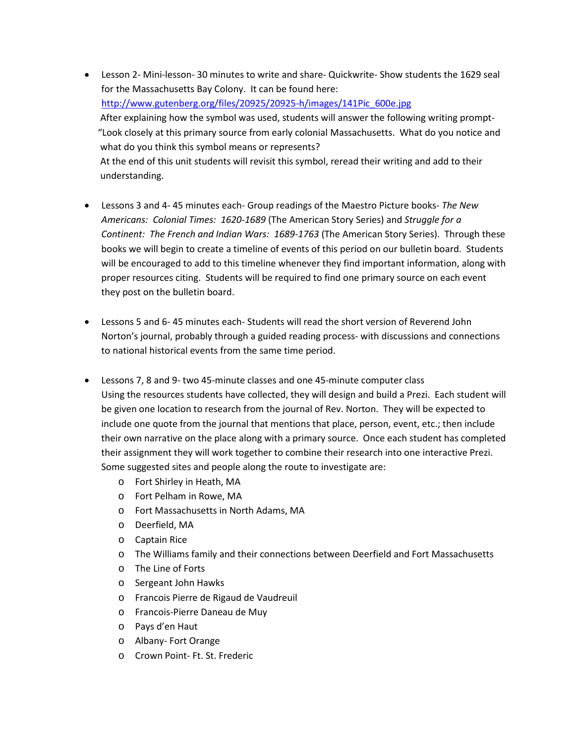- Lesson 2- Mini-lesson- 30 minutes to write and share- Quickwrite- Show students the 1629 seal for the Massachusetts Bay Colony. It can be found here: [http://www.gutenberg.org/files/20925/20925-h/images/141Pic\\_600e.jpg](http://www.gutenberg.org/files/20925/20925-h/images/141Pic_600e.jpg) After explaining how the symbol was used, students will answer the following writing prompt- "Look closely at this primary source from early colonial Massachusetts. What do you notice and what do you think this symbol means or represents? At the end of this unit students will revisit this symbol, reread their writing and add to their understanding.
- Lessons 3 and 4- 45 minutes each- Group readings of the Maestro Picture books- *The New Americans: Colonial Times: 1620-1689* (The American Story Series) and *Struggle for a Continent: The French and Indian Wars: 1689-1763* (The American Story Series). Through these books we will begin to create a timeline of events of this period on our bulletin board. Students will be encouraged to add to this timeline whenever they find important information, along with proper resources citing. Students will be required to find one primary source on each event they post on the bulletin board.
- Lessons 5 and 6- 45 minutes each- Students will read the short version of Reverend John Norton's journal, probably through a guided reading process- with discussions and connections to national historical events from the same time period.
- Lessons 7, 8 and 9- two 45-minute classes and one 45-minute computer class Using the resources students have collected, they will design and build a Prezi. Each student will be given one location to research from the journal of Rev. Norton. They will be expected to include one quote from the journal that mentions that place, person, event, etc.; then include their own narrative on the place along with a primary source. Once each student has completed their assignment they will work together to combine their research into one interactive Prezi. Some suggested sites and people along the route to investigate are:
	- o Fort Shirley in Heath, MA
	- o Fort Pelham in Rowe, MA
	- o Fort Massachusetts in North Adams, MA
	- o Deerfield, MA
	- o Captain Rice
	- o The Williams family and their connections between Deerfield and Fort Massachusetts
	- o The Line of Forts
	- o Sergeant John Hawks
	- o Francois Pierre de Rigaud de Vaudreuil
	- o Francois-Pierre Daneau de Muy
	- o Pays d'en Haut
	- o Albany- Fort Orange
	- o Crown Point- Ft. St. Frederic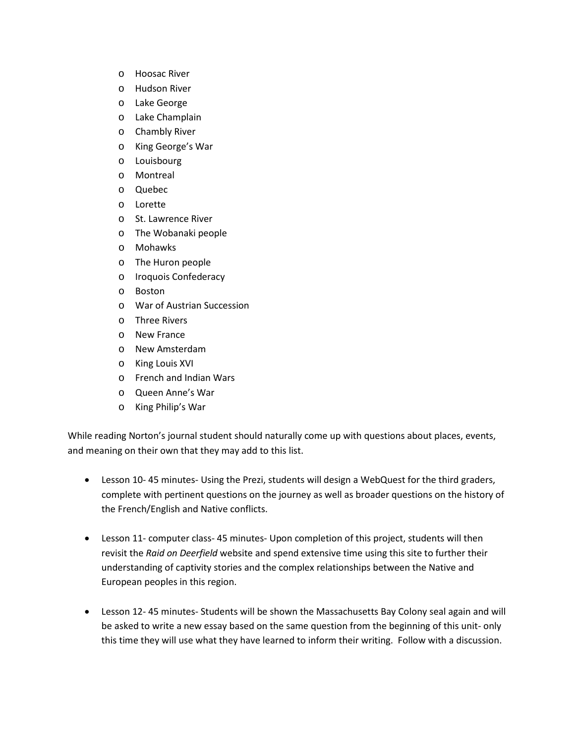- o Hoosac River
- o Hudson River
- o Lake George
- o Lake Champlain
- o Chambly River
- o King George's War
- o Louisbourg
- o Montreal
- o Quebec
- o Lorette
- o St. Lawrence River
- o The Wobanaki people
- o Mohawks
- o The Huron people
- o Iroquois Confederacy
- o Boston
- o War of Austrian Succession
- o Three Rivers
- o New France
- o New Amsterdam
- o King Louis XVI
- o French and Indian Wars
- o Queen Anne's War
- o King Philip's War

While reading Norton's journal student should naturally come up with questions about places, events, and meaning on their own that they may add to this list.

- Lesson 10- 45 minutes- Using the Prezi, students will design a WebQuest for the third graders, complete with pertinent questions on the journey as well as broader questions on the history of the French/English and Native conflicts.
- Lesson 11- computer class- 45 minutes- Upon completion of this project, students will then revisit the *Raid on Deerfield* website and spend extensive time using this site to further their understanding of captivity stories and the complex relationships between the Native and European peoples in this region.
- Lesson 12- 45 minutes- Students will be shown the Massachusetts Bay Colony seal again and will be asked to write a new essay based on the same question from the beginning of this unit- only this time they will use what they have learned to inform their writing. Follow with a discussion.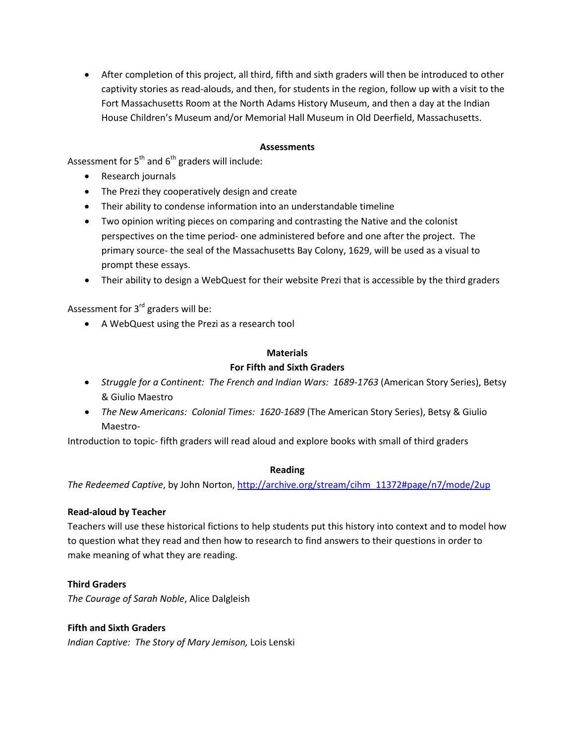• After completion of this project, all third, fifth and sixth graders will then be introduced to other captivity stories as read-alouds, and then, for students in the region, follow up with a visit to the Fort Massachusetts Room at the North Adams History Museum, and then a day at the Indian House Children's Museum and/or Memorial Hall Museum in Old Deerfield, Massachusetts.

# **Assessments**

Assessment for  $5<sup>th</sup>$  and  $6<sup>th</sup>$  graders will include:

- Research journals
- The Prezi they cooperatively design and create
- Their ability to condense information into an understandable timeline
- Two opinion writing pieces on comparing and contrasting the Native and the colonist perspectives on the time period- one administered before and one after the project. The primary source- the seal of the Massachusetts Bay Colony, 1629, will be used as a visual to prompt these essays.
- Their ability to design a WebQuest for their website Prezi that is accessible by the third graders

Assessment for 3<sup>rd</sup> graders will be:

• A WebQuest using the Prezi as a research tool

# **Materials**

# **For Fifth and Sixth Graders**

- *Struggle for a Continent: The French and Indian Wars: 1689-1763* (American Story Series), Betsy & Giulio Maestro
- *The New Americans: Colonial Times: 1620-1689* (The American Story Series), Betsy & Giulio Maestro-

Introduction to topic- fifth graders will read aloud and explore books with small of third graders

# **Reading**

*The Redeemed Captive*, by John Norton[, http://archive.org/stream/cihm\\_11372#page/n7/mode/2up](http://archive.org/stream/cihm_11372#page/n7/mode/2up)

# **Read-aloud by Teacher**

Teachers will use these historical fictions to help students put this history into context and to model how to question what they read and then how to research to find answers to their questions in order to make meaning of what they are reading.

# **Third Graders**

*The Courage of Sarah Noble*, Alice Dalgleish

# **Fifth and Sixth Graders**

*Indian Captive: The Story of Mary Jemison,* Lois Lenski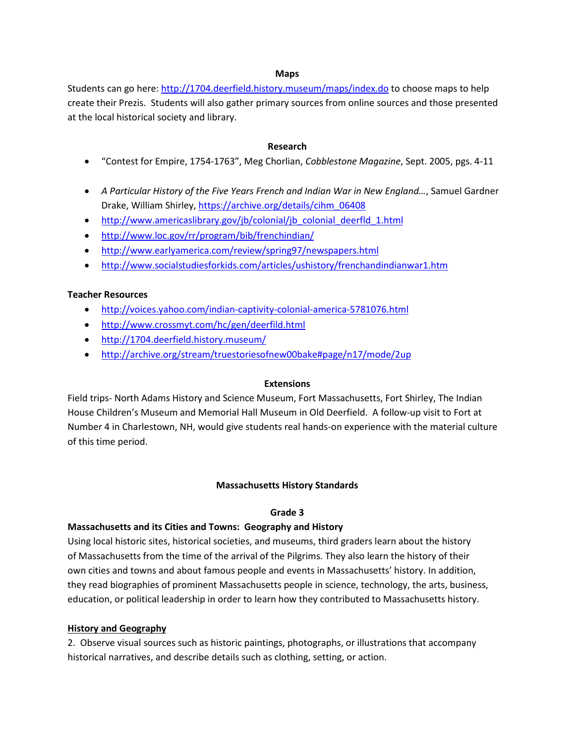#### **Maps**

Students can go here[: http://1704.deerfield.history.museum/maps/index.do](http://1704.deerfield.history.museum/maps/index.do) to choose maps to help create their Prezis. Students will also gather primary sources from online sources and those presented at the local historical society and library.

### **Research**

- "Contest for Empire, 1754-1763", Meg Chorlian, *Cobblestone Magazine*, Sept. 2005, pgs. 4-11
- *A Particular History of the Five Years French and Indian War in New England…*, Samuel Gardner Drake, William Shirley, [https://archive.org/details/cihm\\_06408](https://archive.org/details/cihm_06408)
- [http://www.americaslibrary.gov/jb/colonial/jb\\_colonial\\_deerfld\\_1.html](http://www.americaslibrary.gov/jb/colonial/jb_colonial_deerfld_1.html)
- <http://www.loc.gov/rr/program/bib/frenchindian/>
- <http://www.earlyamerica.com/review/spring97/newspapers.html>
- <http://www.socialstudiesforkids.com/articles/ushistory/frenchandindianwar1.htm>

### **Teacher Resources**

- <http://voices.yahoo.com/indian-captivity-colonial-america-5781076.html>
- <http://www.crossmyt.com/hc/gen/deerfild.html>
- <http://1704.deerfield.history.museum/>
- <http://archive.org/stream/truestoriesofnew00bake#page/n17/mode/2up>

#### **Extensions**

Field trips- North Adams History and Science Museum, Fort Massachusetts, Fort Shirley, The Indian House Children's Museum and Memorial Hall Museum in Old Deerfield. A follow-up visit to Fort at Number 4 in Charlestown, NH, would give students real hands-on experience with the material culture of this time period.

# **Massachusetts History Standards**

#### **Grade 3**

# **Massachusetts and its Cities and Towns: Geography and History**

Using local historic sites, historical societies, and museums, third graders learn about the history of Massachusetts from the time of the arrival of the Pilgrims. They also learn the history of their own cities and towns and about famous people and events in Massachusetts' history. In addition, they read biographies of prominent Massachusetts people in science, technology, the arts, business, education, or political leadership in order to learn how they contributed to Massachusetts history.

#### **History and Geography**

2. Observe visual sources such as historic paintings, photographs, or illustrations that accompany historical narratives, and describe details such as clothing, setting, or action.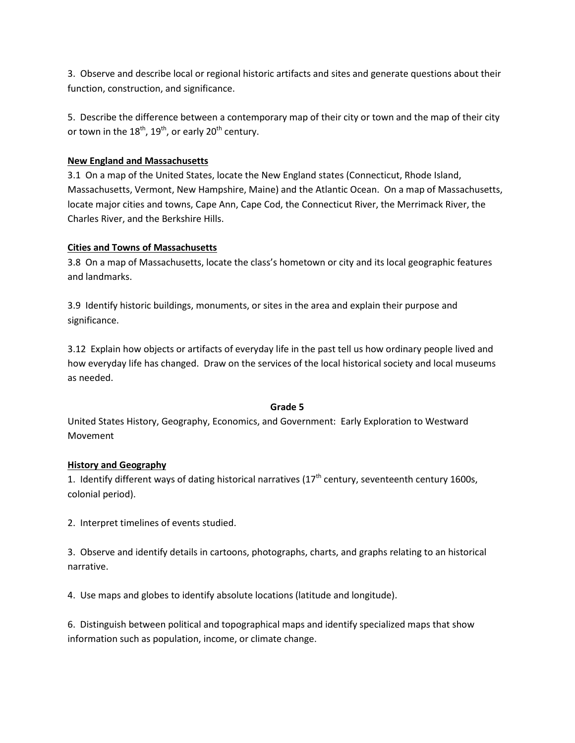3. Observe and describe local or regional historic artifacts and sites and generate questions about their function, construction, and significance.

5. Describe the difference between a contemporary map of their city or town and the map of their city or town in the  $18^{th}$ ,  $19^{th}$ , or early  $20^{th}$  century.

# **New England and Massachusetts**

3.1 On a map of the United States, locate the New England states (Connecticut, Rhode Island, Massachusetts, Vermont, New Hampshire, Maine) and the Atlantic Ocean. On a map of Massachusetts, locate major cities and towns, Cape Ann, Cape Cod, the Connecticut River, the Merrimack River, the Charles River, and the Berkshire Hills.

# **Cities and Towns of Massachusetts**

3.8 On a map of Massachusetts, locate the class's hometown or city and its local geographic features and landmarks.

3.9 Identify historic buildings, monuments, or sites in the area and explain their purpose and significance.

3.12 Explain how objects or artifacts of everyday life in the past tell us how ordinary people lived and how everyday life has changed. Draw on the services of the local historical society and local museums as needed.

# **Grade 5**

United States History, Geography, Economics, and Government: Early Exploration to Westward Movement

# **History and Geography**

1. Identify different ways of dating historical narratives  $(17<sup>th</sup>$  century, seventeenth century 1600s, colonial period).

2. Interpret timelines of events studied.

3. Observe and identify details in cartoons, photographs, charts, and graphs relating to an historical narrative.

4. Use maps and globes to identify absolute locations (latitude and longitude).

6. Distinguish between political and topographical maps and identify specialized maps that show information such as population, income, or climate change.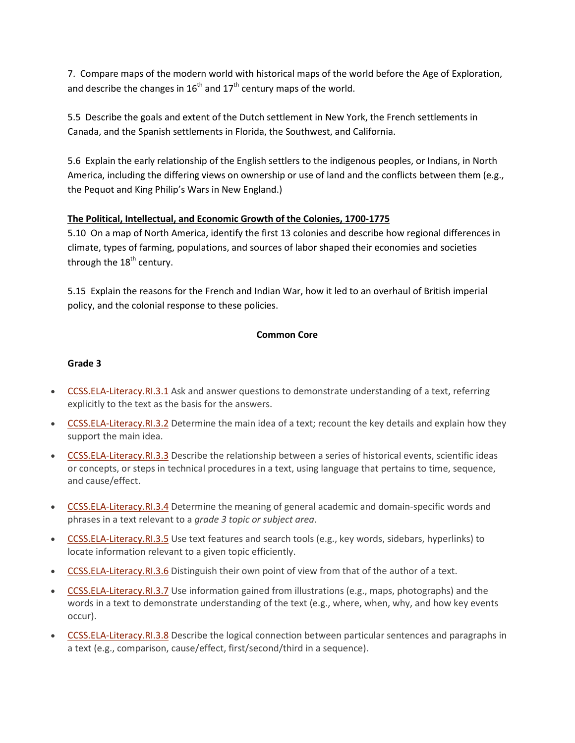7. Compare maps of the modern world with historical maps of the world before the Age of Exploration, and describe the changes in  $16<sup>th</sup>$  and  $17<sup>th</sup>$  century maps of the world.

5.5 Describe the goals and extent of the Dutch settlement in New York, the French settlements in Canada, and the Spanish settlements in Florida, the Southwest, and California.

5.6 Explain the early relationship of the English settlers to the indigenous peoples, or Indians, in North America, including the differing views on ownership or use of land and the conflicts between them (e.g., the Pequot and King Philip's Wars in New England.)

# **The Political, Intellectual, and Economic Growth of the Colonies, 1700-1775**

5.10 On a map of North America, identify the first 13 colonies and describe how regional differences in climate, types of farming, populations, and sources of labor shaped their economies and societies through the  $18<sup>th</sup>$  century.

5.15 Explain the reasons for the French and Indian War, how it led to an overhaul of British imperial policy, and the colonial response to these policies.

# **Common Core**

# **Grade 3**

- [CCSS.ELA-Literacy.RI.3.1](http://www.corestandards.org/ELA-Literacy/RI/3/1/) Ask and answer questions to demonstrate understanding of a text, referring explicitly to the text as the basis for the answers.
- [CCSS.ELA-Literacy.RI.3.2](http://www.corestandards.org/ELA-Literacy/RI/3/2/) Determine the main idea of a text; recount the key details and explain how they support the main idea.
- [CCSS.ELA-Literacy.RI.3.3](http://www.corestandards.org/ELA-Literacy/RI/3/3/) Describe the relationship between a series of historical events, scientific ideas or concepts, or steps in technical procedures in a text, using language that pertains to time, sequence, and cause/effect.
- [CCSS.ELA-Literacy.RI.3.4](http://www.corestandards.org/ELA-Literacy/RI/3/4/) Determine the meaning of general academic and domain-specific words and phrases in a text relevant to a *grade 3 topic or subject area*.
- [CCSS.ELA-Literacy.RI.3.5](http://www.corestandards.org/ELA-Literacy/RI/3/5/) Use text features and search tools (e.g., key words, sidebars, hyperlinks) to locate information relevant to a given topic efficiently.
- [CCSS.ELA-Literacy.RI.3.6](http://www.corestandards.org/ELA-Literacy/RI/3/6/) Distinguish their own point of view from that of the author of a text.
- [CCSS.ELA-Literacy.RI.3.7](http://www.corestandards.org/ELA-Literacy/RI/3/7/) Use information gained from illustrations (e.g., maps, photographs) and the words in a text to demonstrate understanding of the text (e.g., where, when, why, and how key events occur).
- [CCSS.ELA-Literacy.RI.3.8](http://www.corestandards.org/ELA-Literacy/RI/3/8/) Describe the logical connection between particular sentences and paragraphs in a text (e.g., comparison, cause/effect, first/second/third in a sequence).